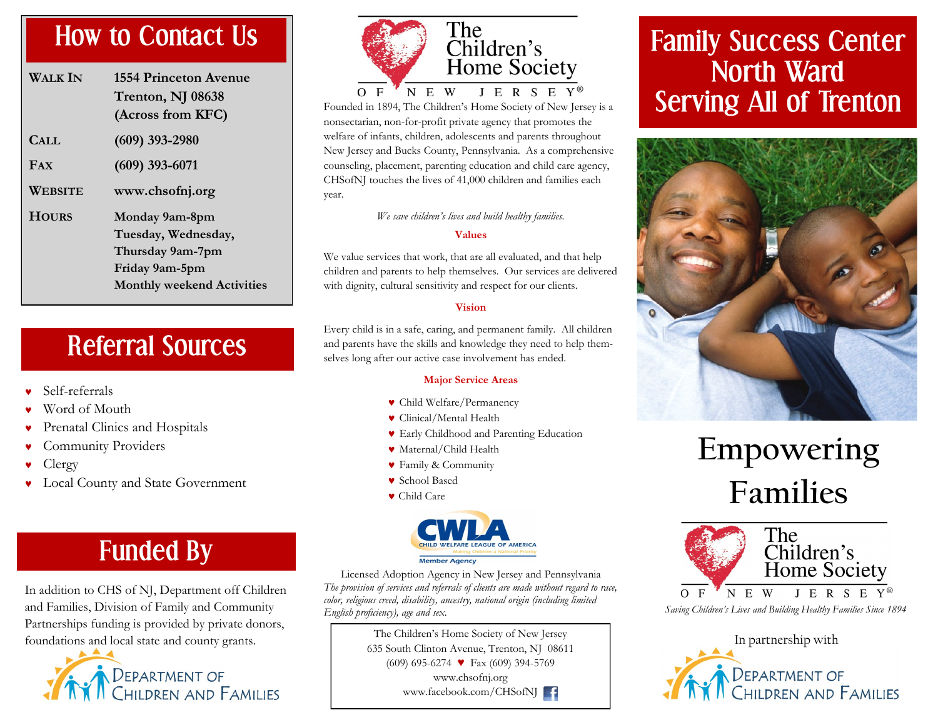### **How to Contact Us**

| Walk In      | 1554 Princeton Avenue<br>Trenton, NJ 08638<br>(Across from KFC)                                                  |
|--------------|------------------------------------------------------------------------------------------------------------------|
| CALL         | $(609)$ 393-2980                                                                                                 |
| <b>FAX</b>   | $(609)$ 393-6071                                                                                                 |
| WEBSITE      | www.chsofnj.org                                                                                                  |
| <b>HOURS</b> | Monday 9am-8pm<br>Tuesday, Wednesday,<br>Thursday 9am-7pm<br>Friday 9am-5pm<br><b>Monthly weekend Activities</b> |

### **Referral Sources**

- Self-referrals
- Word of Mouth
- Prenatal Clinics and Hospitals
- Community Providers
- Clergy
- Local County and State Government

### **Funded By**

In addition to CHS of NJ, Department off Children and Families, Division of Family and Community Partnerships funding is provided by private donors, foundations and local state and county grants.<br>In partnership with





Founded in 1894, The Children's Home Society of New Jersey is a nonsectarian, non-for-profit private agency that promotes the welfare of infants, children, adolescents and parents throughout New Jersey and Bucks County, Pennsylvania. As a comprehensive counseling, placement, parenting education and child care agency, CHSofNJ touches the lives of 41,000 children and families each year.

*We save children's lives and build healthy families.*

#### **Values**

We value services that work, that are all evaluated, and that help children and parents to help themselves. Our services are delivered with dignity, cultural sensitivity and respect for our clients.

#### **Vision**

Every child is in a safe, caring, and permanent family. All children and parents have the skills and knowledge they need to help themselves long after our active case involvement has ended.

#### **Major Service Areas**

- Child Welfare/Permanency
- Clinical/Mental Health
- Early Childhood and Parenting Education
- Maternal/Child Health
- Family & Community
- School Based
- Child Care



Licensed Adoption Agency in New Jersey and Pennsylvania *The provision of services and referrals of clients are made without regard to race, color, religious creed, disability, ancestry, national origin (including limited English proficiency), age and sex.*

> The Children's Home Society of New Jersey 635 South Clinton Avenue, Trenton, NJ 08611 (609) 695-6274 ♥ Fax (609) 394-5769 www.chsofnj.org www.facebook.com/CHSofNJ

### **Family Success Center North Ward Serving All of Trenton**



# **Empowering Families**



Department of<br>Children and Families